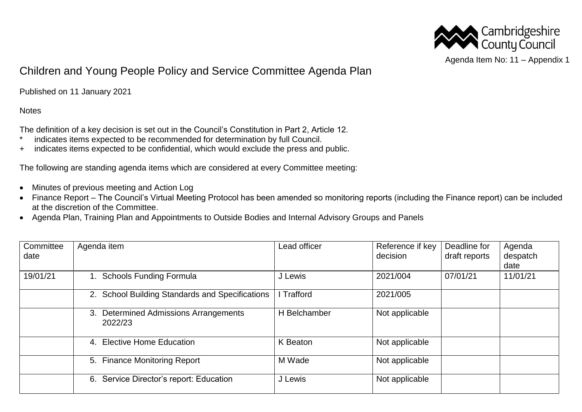

## Children and Young People Policy and Service Committee Agenda Plan

Published on 11 January 2021

**Notes** 

The definition of a key decision is set out in the Council's Constitution in Part 2, Article 12.

- \* indicates items expected to be recommended for determination by full Council.
- + indicates items expected to be confidential, which would exclude the press and public.

The following are standing agenda items which are considered at every Committee meeting:

- Minutes of previous meeting and Action Log
- Finance Report The Council's Virtual Meeting Protocol has been amended so monitoring reports (including the Finance report) can be included at the discretion of the Committee.
- Agenda Plan, Training Plan and Appointments to Outside Bodies and Internal Advisory Groups and Panels

| Committee | Agenda item                                                | Lead officer | Reference if key | Deadline for  | Agenda   |
|-----------|------------------------------------------------------------|--------------|------------------|---------------|----------|
| date      |                                                            |              | decision         | draft reports | despatch |
|           |                                                            |              |                  |               | date     |
| 19/01/21  | 1. Schools Funding Formula                                 | J Lewis      | 2021/004         | 07/01/21      | 11/01/21 |
|           | 2. School Building Standards and Specifications            | I Trafford   | 2021/005         |               |          |
|           | <b>Determined Admissions Arrangements</b><br>3.<br>2022/23 | H Belchamber | Not applicable   |               |          |
|           | 4. Elective Home Education                                 | K Beaton     | Not applicable   |               |          |
|           | 5. Finance Monitoring Report                               | M Wade       | Not applicable   |               |          |
|           | Service Director's report: Education<br>6.                 | J Lewis      | Not applicable   |               |          |